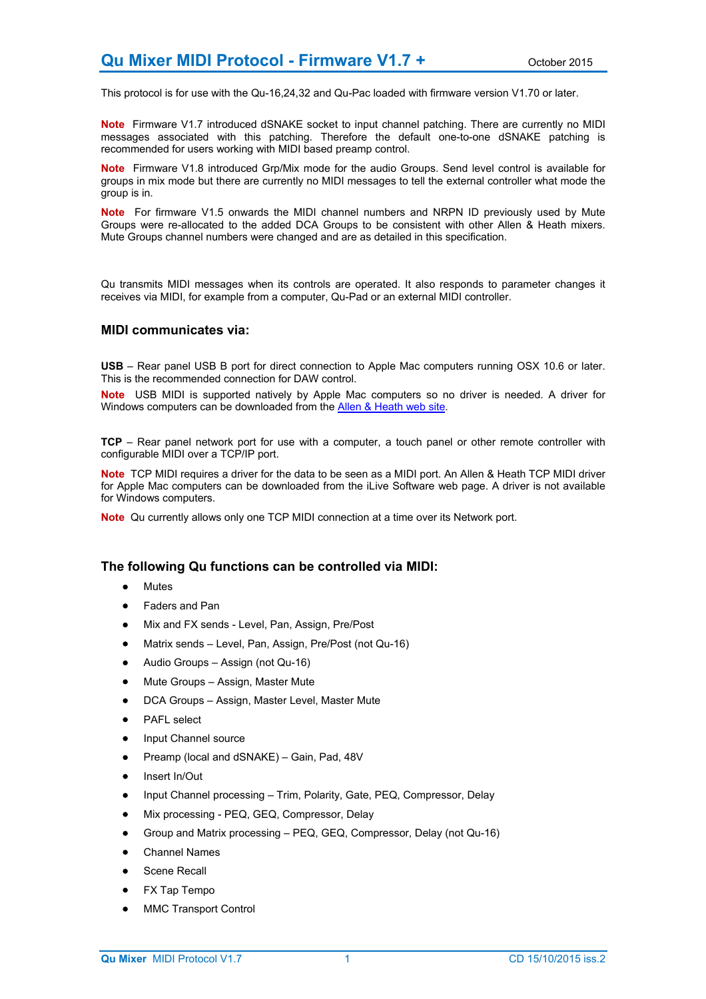This protocol is for use with the Qu-16,24,32 and Qu-Pac loaded with firmware version V1.70 or later.

**Note** Firmware V1.7 introduced dSNAKE socket to input channel patching. There are currently no MIDI messages associated with this patching. Therefore the default one-to-one dSNAKE patching is recommended for users working with MIDI based preamp control.

**Note** Firmware V1.8 introduced Grp/Mix mode for the audio Groups. Send level control is available for groups in mix mode but there are currently no MIDI messages to tell the external controller what mode the group is in.

**Note** For firmware V1.5 onwards the MIDI channel numbers and NRPN ID previously used by Mute Groups were re-allocated to the added DCA Groups to be consistent with other Allen & Heath mixers. Mute Groups channel numbers were changed and are as detailed in this specification.

Qu transmits MIDI messages when its controls are operated. It also responds to parameter changes it receives via MIDI, for example from a computer, Qu-Pad or an external MIDI controller.

### **MIDI communicates via:**

**USB** – Rear panel USB B port for direct connection to Apple Mac computers running OSX 10.6 or later. This is the recommended connection for DAW control.

**Note** USB MIDI is supported natively by Apple Mac computers so no driver is needed. A driver for Windows computers can be downloaded from the **Allen & Heath web site**.

**TCP** – Rear panel network port for use with a computer, a touch panel or other remote controller with configurable MIDI over a TCP/IP port.

**Note** TCP MIDI requires a driver for the data to be seen as a MIDI port. An Allen & Heath TCP MIDI driver for Apple Mac computers can be downloaded from the iLive Software web page. A driver is not available for Windows computers.

**Note** Qu currently allows only one TCP MIDI connection at a time over its Network port.

# **The following Qu functions can be controlled via MIDI:**

- Mutes
- Faders and Pan
- Mix and FX sends Level, Pan, Assign, Pre/Post
- Matrix sends Level, Pan, Assign, Pre/Post (not Qu-16)
- Audio Groups Assign (not Qu-16)
- Mute Groups Assign, Master Mute
- DCA Groups Assign, Master Level, Master Mute
- PAFL select
- Input Channel source
- Preamp (local and dSNAKE) Gain, Pad, 48V
- Insert In/Out
- Input Channel processing Trim, Polarity, Gate, PEQ, Compressor, Delay
- Mix processing PEQ, GEQ, Compressor, Delay
- Group and Matrix processing PEQ, GEQ, Compressor, Delay (not Qu-16)
- Channel Names
- Scene Recall
- FX Tap Tempo
- MMC Transport Control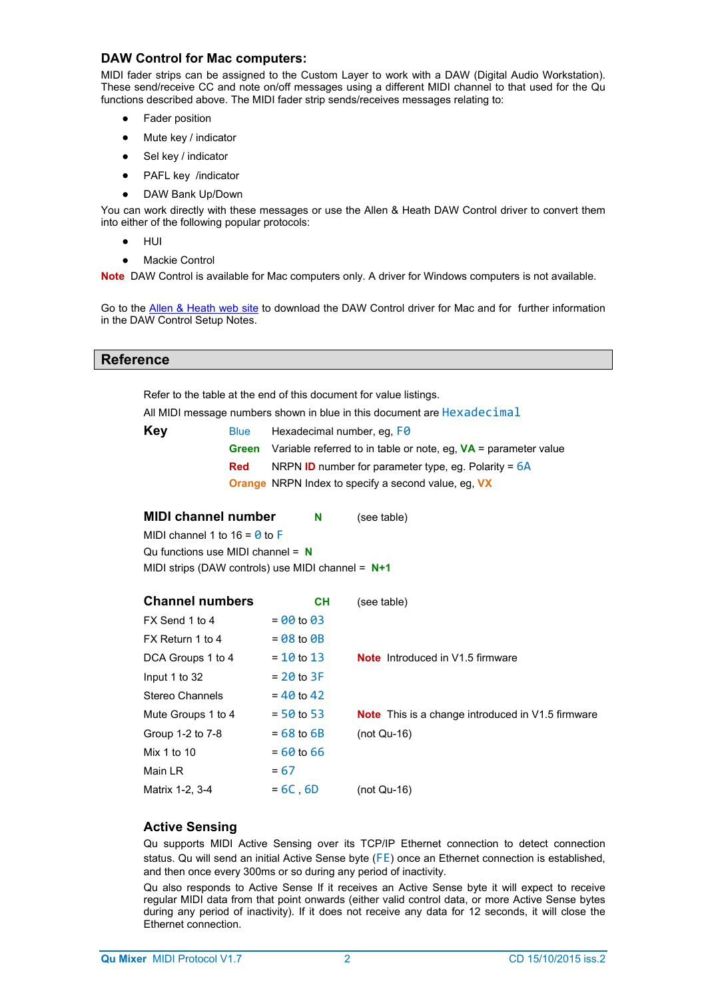# **DAW Control for Mac computers:**

MIDI fader strips can be assigned to the Custom Layer to work with a DAW (Digital Audio Workstation). These send/receive CC and note on/off messages using a different MIDI channel to that used for the Qu functions described above. The MIDI fader strip sends/receives messages relating to:

- Fader position
- Mute key / indicator
- Sel key / indicator
- PAFL key /indicator
- DAW Bank Up/Down

You can work directly with these messages or use the Allen & Heath DAW Control driver to convert them into either of the following popular protocols:

- HUI
- Mackie Control

**Note** DAW Control is available for Mac computers only. A driver for Windows computers is not available.

Go to the Allen & Heath web site to download the DAW Control driver for Mac and for further information in the DAW Control Setup Notes.

### **Reference**

Refer to the table at the end of this document for value listings.

All MIDI message numbers shown in blue in this document are Hexadecimal

| Key | <b>Blue</b> | Hexadecimal number, eq. FO                                                     |
|-----|-------------|--------------------------------------------------------------------------------|
|     |             | <b>Green</b> Variable referred to in table or note, eq. $VA =$ parameter value |
|     | <b>Red</b>  | NRPN <b>ID</b> number for parameter type, eq. Polarity = $6A$                  |
|     |             | <b>Orange</b> NRPN Index to specify a second value, eq. VX                     |

**MIDI channel number N** (see table) MIDI channel 1 to 16 =  $\theta$  to F Qu functions use MIDI channel = **N** MIDI strips (DAW controls) use MIDI channel = **N+1**

| <b>Channel numbers</b> | <b>CH</b>      | (see table)                                              |
|------------------------|----------------|----------------------------------------------------------|
| FX Send 1 to 4         | $= 00$ to 03   |                                                          |
| FX Return 1 to 4       | $= 08$ to $0B$ |                                                          |
| DCA Groups 1 to 4      | $= 10$ to $13$ | <b>Note</b> Introduced in V1.5 firmware                  |
| Input 1 to 32          | $= 20$ to 3F   |                                                          |
| Stereo Channels        | $= 40$ to $42$ |                                                          |
| Mute Groups 1 to 4     | $=$ 50 to 53   | <b>Note</b> This is a change introduced in V1.5 firmware |
| Group 1-2 to 7-8       | $= 68$ to $6B$ | $(not Qu-16)$                                            |
| Mix 1 to 10            | $= 60$ to 66   |                                                          |
| Main LR                | $= 67$         |                                                          |
| Matrix 1-2, 3-4        | $=6C.6D$       | $(not Qu-16)$                                            |

# **Active Sensing**

Qu supports MIDI Active Sensing over its TCP/IP Ethernet connection to detect connection status. Qu will send an initial Active Sense byte (FE) once an Ethernet connection is established, and then once every 300ms or so during any period of inactivity.

Qu also responds to Active Sense If it receives an Active Sense byte it will expect to receive regular MIDI data from that point onwards (either valid control data, or more Active Sense bytes during any period of inactivity). If it does not receive any data for 12 seconds, it will close the Ethernet connection.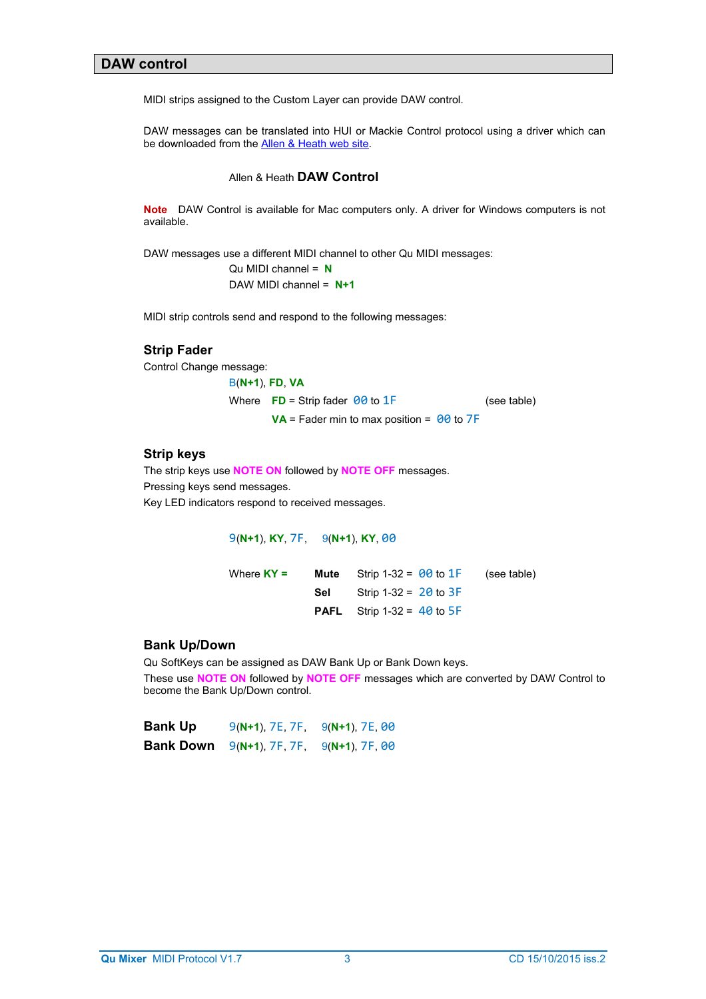# **DAW control**

MIDI strips assigned to the Custom Layer can provide DAW control.

DAW messages can be translated into HUI or Mackie Control protocol using a driver which can be downloaded from the **Allen & Heath web site**.

### Allen & Heath **DAW Control**

**Note** DAW Control is available for Mac computers only. A driver for Windows computers is not available.

DAW messages use a different MIDI channel to other Qu MIDI messages:

Qu MIDI channel = **N** DAW MIDI channel = **N+1**

MIDI strip controls send and respond to the following messages:

# **Strip Fader**

Control Change message:

B(**N+1**), **FD**, **VA** Where  $\overline{FD}$  = Strip fader  $\theta\theta$  to  $1\overline{F}$  (see table)  $VA =$  Fader min to max position =  $00$  to  $7F$ 

### **Strip keys**

The strip keys use **NOTE ON** followed by **NOTE OFF** messages. Pressing keys send messages. Key LED indicators respond to received messages.

9(**N+1**), **KY**, 7F, 9(**N+1**), **KY**, 00

| Where $KY =$ |     | <b>Mute</b> Strip 1-32 = $\theta\theta$ to $1$ F | (see table) |
|--------------|-----|--------------------------------------------------|-------------|
|              | Sel | Strip 1-32 = $20$ to $3F$                        |             |
|              |     | <b>PAFL</b> Strip 1-32 = $40$ to 5F              |             |

### **Bank Up/Down**

Qu SoftKeys can be assigned as DAW Bank Up or Bank Down keys. These use **NOTE ON** followed by **NOTE OFF** messages which are converted by DAW Control to become the Bank Up/Down control.

| Bank Up   | $9(N+1)$ , 7E, 7F, $9(N+1)$ , 7E, 00 |  |
|-----------|--------------------------------------|--|
| Bank Down | $9(N+1)$ , 7F, 7F, $9(N+1)$ , 7F, 00 |  |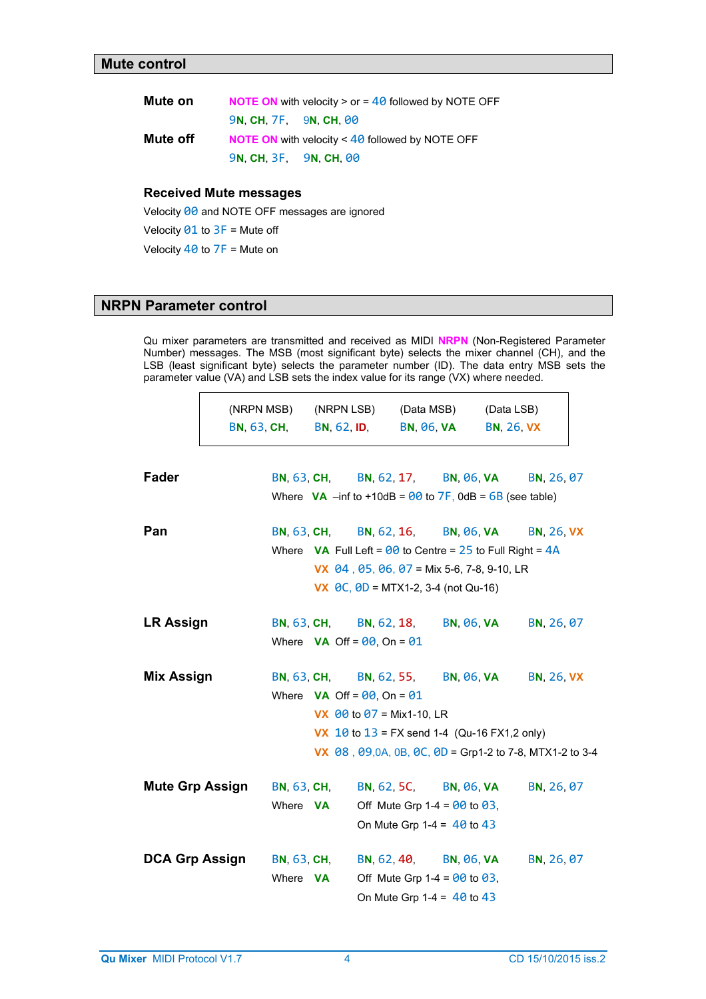| Mute on  |                          | <b>NOTE ON</b> with velocity $>$ or $=$ 40 followed by NOTE OFF |
|----------|--------------------------|-----------------------------------------------------------------|
|          | <b>9N CH 7F 9N CH 00</b> |                                                                 |
| Mute off |                          | <b>NOTE ON</b> with velocity $\leq 40$ followed by NOTE OFF     |
|          | 9N, CH, 3F, 9N, CH, 00   |                                                                 |

# **Received Mute messages**

Velocity 00 and NOTE OFF messages are ignored

Velocity  $91$  to  $3F$  = Mute off

Velocity  $40$  to  $7F =$  Mute on

# **NRPN Parameter control**

Qu mixer parameters are transmitted and received as MIDI **NRPN** (Non-Registered Parameter Number) messages. The MSB (most significant byte) selects the mixer channel (CH), and the LSB (least significant byte) selects the parameter number (ID). The data entry MSB sets the parameter value (VA) and LSB sets the index value for its range (VX) where needed.

|                        | (NRPN MSB)<br><b>BN, 63, CH,</b> | (NRPN LSB)<br><b>BN, 62, ID,</b>                                                                                                                | (Data MSB)<br><b>BN, 06, VA</b> |                                                                | (Data LSB)<br><b>BN, 26, VX</b> |                   |
|------------------------|----------------------------------|-------------------------------------------------------------------------------------------------------------------------------------------------|---------------------------------|----------------------------------------------------------------|---------------------------------|-------------------|
| <b>Fader</b>           |                                  | BN, 63, CH, BN, 62, 17, BN, 06, VA<br>Where $VA$ –inf to +10dB = $\theta\theta$ to 7F, 0dB = $6B$ (see table)                                   |                                 |                                                                |                                 | BN, 26, 07        |
| Pan                    |                                  | BN, 63, CH, BN, 62, 16, BN, 06, VA<br>Where <b>VA</b> Full Left = $\theta\theta$ to Centre = 25 to Full Right = $4A$                            |                                 |                                                                |                                 | <b>BN, 26, VX</b> |
|                        |                                  | <b>VX</b> $\theta$ 4, $\theta$ 5, $\theta$ 6, $\theta$ 7 = Mix 5-6, 7-8, 9-10, LR<br><b>VX</b> $\theta$ C, $\theta$ D = MTX1-2, 3-4 (not Qu-16) |                                 |                                                                |                                 |                   |
| <b>LR Assign</b>       |                                  | BN, 63, CH, BN, 62, 18,<br>Where $VA$ Off = $00$ , On = $01$                                                                                    |                                 | <b>BN, 06, VA</b>                                              |                                 | BN, 26, 07        |
| Mix Assign             | <b>BN, 63, CH,</b>               | Where $VA$ Off = $00$ , On = $01$                                                                                                               |                                 | BN, 62, 55, BN, 06, VA                                         |                                 | <b>BN, 26, VX</b> |
|                        |                                  | <b>VX</b> $\theta\theta$ to $\theta$ 7 = Mix1-10, LR                                                                                            |                                 |                                                                |                                 |                   |
|                        |                                  | <b>VX</b> 10 to $13 = FX$ send 1-4 (Qu-16 FX1,2 only)<br>VX $\,$ 08, 09,0A, 0B, 0C, 0D = Grp1-2 to 7-8, MTX1-2 to 3-4                           |                                 |                                                                |                                 |                   |
| <b>Mute Grp Assign</b> | <b>BN, 63, CH,</b>               |                                                                                                                                                 |                                 | BN, 62, 5C, BN, 06, VA                                         |                                 | BN, 26, 07        |
|                        | Where <b>VA</b>                  |                                                                                                                                                 |                                 | Off Mute Grp 1-4 = $00$ to 03,<br>On Mute Grp 1-4 = $40$ to 43 |                                 |                   |
| <b>DCA Grp Assign</b>  | <b>BN, 63, CH,</b>               |                                                                                                                                                 |                                 | BN, 62, 40, BN, 06, VA                                         |                                 | BN, 26, 07        |
|                        | Where <b>VA</b>                  |                                                                                                                                                 |                                 | Off Mute Grp 1-4 = $00$ to 03,<br>On Mute Grp 1-4 = $40$ to 43 |                                 |                   |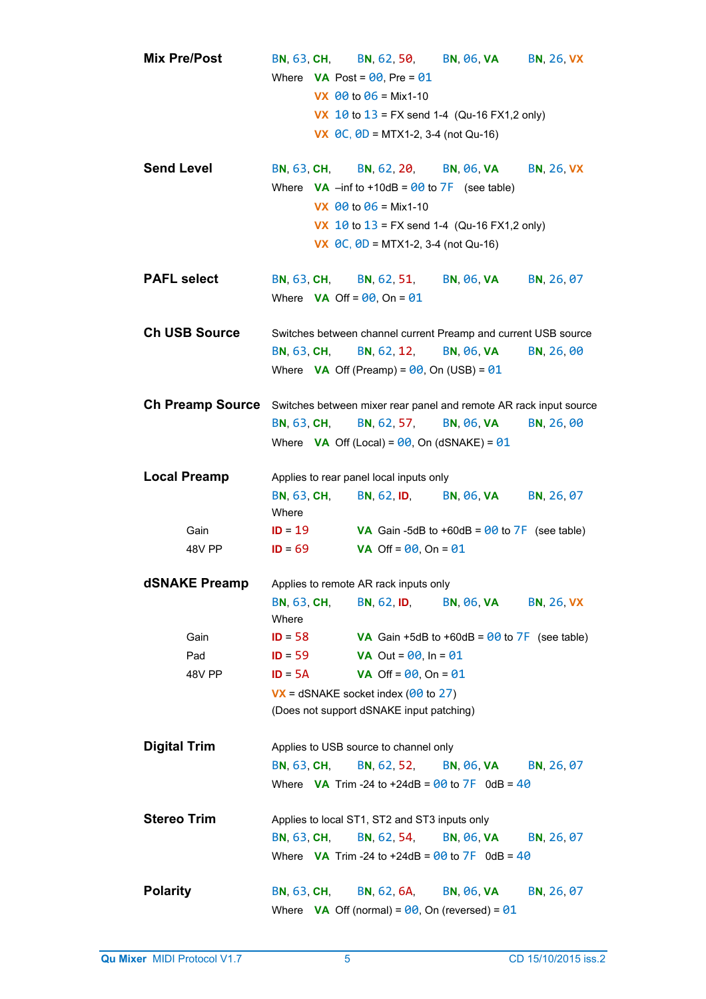|                     | <b>Mix Pre/Post</b>  |                                                                             | <b>BN, 63, CH,</b> | Where <b>VA</b> Post = $90$ , Pre = $01$                                        | BN, 62, 50, BN, 06, VA                                                             | <b>BN, 26, VX</b> |
|---------------------|----------------------|-----------------------------------------------------------------------------|--------------------|---------------------------------------------------------------------------------|------------------------------------------------------------------------------------|-------------------|
|                     |                      |                                                                             |                    | <b>VX</b> $\theta\theta$ to $\theta$ 6 = Mix1-10                                |                                                                                    |                   |
|                     |                      |                                                                             |                    |                                                                                 | <b>VX</b> 10 to $13 = FX$ send 1-4 (Qu-16 FX1,2 only)                              |                   |
|                     |                      |                                                                             |                    | <b>VX</b> $\theta$ C, $\theta$ D = MTX1-2, 3-4 (not Qu-16)                      |                                                                                    |                   |
| <b>Send Level</b>   |                      |                                                                             |                    | BN, 63, CH, BN, 62, 20, BN, 06, VA                                              |                                                                                    | <b>BN, 26, VX</b> |
|                     |                      |                                                                             |                    | Where $\mathsf{VA}$ –inf to +10dB = $\theta\theta$ to $\mathsf{ZF}$ (see table) |                                                                                    |                   |
|                     |                      |                                                                             |                    | VX $00$ to $06$ = Mix1-10                                                       |                                                                                    |                   |
|                     |                      |                                                                             |                    | <b>VX</b> $\theta$ C, $\theta$ D = MTX1-2, 3-4 (not Qu-16)                      | <b>VX</b> 10 to $13 = FX$ send 1-4 (Qu-16 FX1,2 only)                              |                   |
|                     |                      |                                                                             |                    |                                                                                 |                                                                                    |                   |
| <b>PAFL select</b>  |                      |                                                                             | <b>BN, 63, CH,</b> | <b>BN, 62, 51,</b>                                                              | <b>BN, 06, VA</b>                                                                  | BN, 26, 07        |
|                     |                      |                                                                             |                    | Where $VA$ Off = $00$ , On = $01$                                               |                                                                                    |                   |
|                     |                      |                                                                             |                    |                                                                                 |                                                                                    |                   |
|                     | <b>Ch USB Source</b> |                                                                             |                    |                                                                                 | Switches between channel current Preamp and current USB source                     |                   |
|                     |                      |                                                                             | <b>BN, 63, CH,</b> | <b>BN, 62, 12,</b>                                                              | <b>BN, 06, VA</b>                                                                  | BN, 26, 00        |
|                     |                      |                                                                             |                    | Where $VA$ Off (Preamp) = $00$ , On (USB) = $01$                                |                                                                                    |                   |
|                     |                      |                                                                             |                    |                                                                                 |                                                                                    |                   |
|                     |                      |                                                                             |                    |                                                                                 | Ch Preamp Source Switches between mixer rear panel and remote AR rack input source |                   |
|                     |                      |                                                                             | <b>BN, 63, CH,</b> | <b>BN, 62, 57,</b>                                                              | <b>BN, 06, VA</b>                                                                  | BN, 26, 00        |
|                     |                      | Where <b>VA</b> Off (Local) = $\theta\theta$ , On (dSNAKE) = $\theta\theta$ |                    |                                                                                 |                                                                                    |                   |
|                     | <b>Local Preamp</b>  |                                                                             |                    | Applies to rear panel local inputs only                                         |                                                                                    |                   |
|                     |                      |                                                                             | <b>BN, 63, CH,</b> | <b>BN, 62, ID,</b>                                                              | <b>BN, 06, VA</b>                                                                  | BN, 26, 07        |
|                     |                      | Where                                                                       |                    |                                                                                 |                                                                                    |                   |
|                     | Gain                 | $ID = 19$                                                                   |                    |                                                                                 | VA Gain -5dB to +60dB = $90$ to $7F$ (see table)                                   |                   |
|                     | 48V PP               | $ID = 69$                                                                   |                    | VA Off = $00$ , On = $01$                                                       |                                                                                    |                   |
|                     |                      |                                                                             |                    | Applies to remote AR rack inputs only                                           |                                                                                    |                   |
|                     | dSNAKE Preamp        | <b>BN, 63, CH,</b>                                                          |                    | <b>BN. 62. ID.</b>                                                              | <b>BN, 06, VA</b>                                                                  | <b>BN, 26, VX</b> |
|                     |                      | Where                                                                       |                    |                                                                                 |                                                                                    |                   |
|                     | Gain                 | $ID = 58$                                                                   |                    |                                                                                 | VA Gain +5dB to +60dB = $00$ to $7F$ (see table)                                   |                   |
|                     | Pad                  | $ID = 59$                                                                   |                    | <b>VA</b> Out = $00$ , In = $01$                                                |                                                                                    |                   |
|                     | 48V PP               | $ID = 5A$                                                                   |                    | <b>VA</b> Off = $00$ , On = $01$                                                |                                                                                    |                   |
|                     |                      |                                                                             |                    | $\overline{V}X$ = dSNAKE socket index ( $\theta\theta$ to 27)                   |                                                                                    |                   |
|                     |                      | (Does not support dSNAKE input patching)                                    |                    |                                                                                 |                                                                                    |                   |
|                     |                      |                                                                             |                    |                                                                                 |                                                                                    |                   |
| <b>Digital Trim</b> |                      |                                                                             |                    | Applies to USB source to channel only                                           |                                                                                    |                   |
|                     |                      |                                                                             | <b>BN, 63, CH,</b> | <b>BN, 62, 52,</b>                                                              | <b>BN, 06, VA</b>                                                                  | BN, 26, 07        |
|                     |                      |                                                                             |                    |                                                                                 | Where <b>VA</b> Trim -24 to +24dB = $\theta\theta$ to $7F$ 0dB = $4\theta$         |                   |
| <b>Stereo Trim</b>  |                      |                                                                             |                    | Applies to local ST1, ST2 and ST3 inputs only                                   |                                                                                    |                   |
|                     |                      | <b>BN, 63, CH,</b>                                                          |                    | <b>BN, 62, 54,</b>                                                              | <b>BN, 06, VA</b>                                                                  | BN, 26, 07        |
|                     |                      |                                                                             |                    |                                                                                 | Where <b>VA</b> Trim -24 to +24dB = $\theta\theta$ to $7F$ 0dB = $4\theta$         |                   |
|                     |                      |                                                                             |                    |                                                                                 |                                                                                    |                   |
| <b>Polarity</b>     |                      | <b>BN, 63, CH,</b>                                                          |                    | <b>BN, 62, 6A,</b>                                                              | <b>BN, 06, VA</b>                                                                  | BN, 26, 07        |
|                     |                      |                                                                             |                    | Where <b>VA</b> Off (normal) = $\theta\theta$ , On (reversed) = $\theta\theta$  |                                                                                    |                   |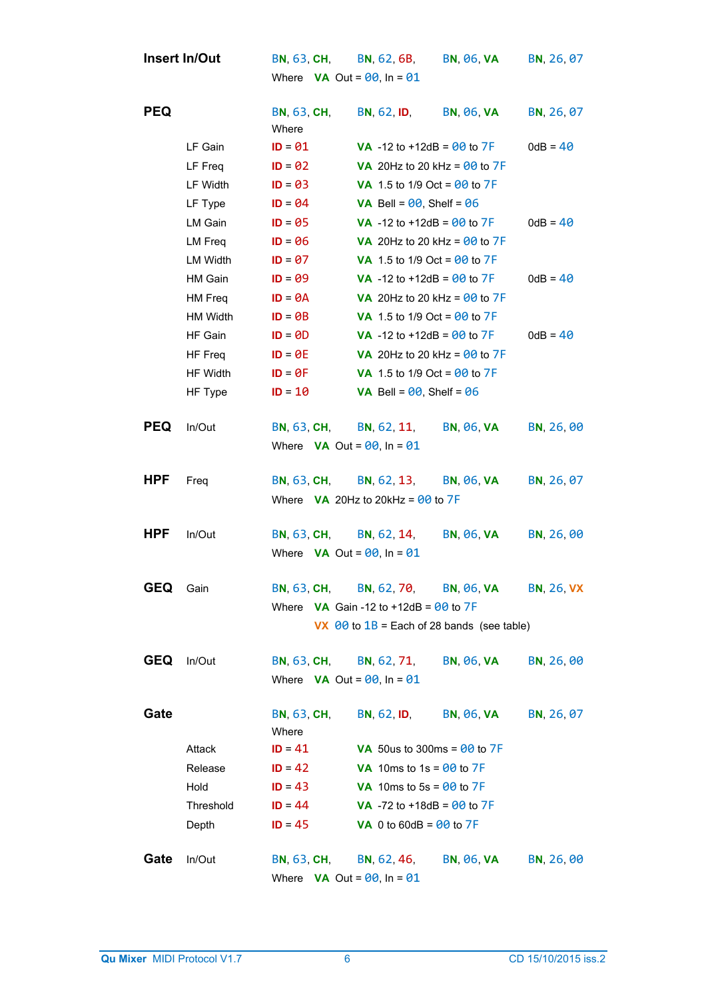|            | <b>Insert In/Out</b> |                                   | BN, 63, CH, BN, 62, 6B,                                  | BN, 06, VA        | BN, 26, 07        |
|------------|----------------------|-----------------------------------|----------------------------------------------------------|-------------------|-------------------|
|            |                      | Where $VA$ Out = $00$ , In = $01$ |                                                          |                   |                   |
|            |                      |                                   |                                                          |                   |                   |
| <b>PEQ</b> |                      | <b>BN, 63, CH,</b><br>Where       | <b>BN, 62, ID,</b>                                       | BN, 06, VA        | BN, 26, 07        |
|            | LF Gain              | $ID = 01$                         | <b>VA</b> -12 to +12dB = $\theta\theta$ to 7F            |                   | $0dB = 40$        |
|            | LF Freq              | $ID = 02$                         | <b>VA</b> 20Hz to 20 kHz = $90$ to $7F$                  |                   |                   |
|            | LF Width             | $ID = 03$                         | <b>VA</b> 1.5 to 1/9 Oct = $90$ to 7F                    |                   |                   |
|            | LF Type              | $ID = 04$                         | <b>VA</b> Bell = $00$ , Shelf = $06$                     |                   |                   |
|            | LM Gain              | $ID = 05$                         | <b>VA</b> -12 to +12dB = $90$ to $7F$                    |                   | $0dB = 40$        |
|            | LM Freq              | $ID = 06$                         | VA 20Hz to 20 kHz = $00$ to $7F$                         |                   |                   |
|            | LM Width             | $ID = 07$                         | <b>VA</b> 1.5 to 1/9 Oct = $\theta\theta$ to 7F          |                   |                   |
|            | HM Gain              | $ID = 09$                         | <b>VA</b> -12 to +12dB = $00$ to $7F$                    |                   | $0dB = 40$        |
|            | HM Freq              | $ID = \Theta A$                   | VA 20Hz to 20 kHz = $00$ to $7F$                         |                   |                   |
|            | HM Width             | $ID = \Theta B$                   | <b>VA</b> 1.5 to 1/9 Oct = $\theta\theta$ to 7F          |                   |                   |
|            | HF Gain              | $ID = 0D$                         | <b>VA</b> -12 to +12dB = $00$ to $7F$                    |                   | $0dB = 40$        |
|            | HF Freq              | $ID = \Theta E$                   | VA 20Hz to 20 kHz = $00$ to $7F$                         |                   |                   |
|            | HF Width             | $ID = \Theta F$                   | <b>VA</b> 1.5 to 1/9 Oct = $90$ to 7F                    |                   |                   |
|            | HF Type              | $ID = 10$                         | <b>VA</b> Bell = $00$ , Shelf = $06$                     |                   |                   |
| <b>PEQ</b> | In/Out               |                                   | BN, 63, CH, BN, 62, 11, BN, 06, VA                       |                   | BN, 26, 00        |
|            |                      | Where $VA$ Out = $00$ , In = $01$ |                                                          |                   |                   |
|            |                      |                                   |                                                          |                   |                   |
| <b>HPF</b> | Freq                 | <b>BN, 63, CH,</b>                | <b>BN, 62, 13,</b>                                       | BN, 06, VA        | BN, 26, 07        |
|            |                      |                                   | Where $\mathsf{VA}$ 20Hz to 20kHz = 00 to 7F             |                   |                   |
|            |                      |                                   |                                                          |                   |                   |
| <b>HPF</b> | In/Out               | <b>BN, 63, CH,</b>                | BN, 62, 14,                                              | <b>BN, 06, VA</b> | BN, 26, 00        |
|            |                      | Where $VA$ Out = $00$ , In = $01$ |                                                          |                   |                   |
| <b>GEQ</b> | Gain                 |                                   | BN, 63, CH, BN, 62, 70, BN, 06, VA                       |                   | <b>BN, 26, VX</b> |
|            |                      |                                   | Where $VA$ Gain -12 to +12dB = $00$ to 7F                |                   |                   |
|            |                      |                                   | VX $\theta\theta$ to $1B$ = Each of 28 bands (see table) |                   |                   |
|            |                      |                                   |                                                          |                   |                   |
| <b>GEQ</b> | In/Out               |                                   | BN, 63, CH, BN, 62, 71, BN, 06, VA                       |                   | BN, 26, 00        |
|            |                      | Where $VA$ Out = $00$ , In = $01$ |                                                          |                   |                   |
| Gate       |                      | <b>BN, 63, CH,</b>                | <b>BN, 62, ID,</b>                                       | <b>BN, 06, VA</b> | BN, 26, 07        |
|            |                      | Where                             |                                                          |                   |                   |
|            | Attack               | $ID = 41$                         | VA 50us to 300ms = $00$ to $7F$                          |                   |                   |
|            | Release              | $ID = 42$                         | VA 10ms to 1s = $00$ to 7F                               |                   |                   |
|            | Hold                 | $ID = 43$                         | VA 10ms to 5s = $00$ to 7F                               |                   |                   |
|            | Threshold            | $ID = 44$                         | <b>VA</b> -72 to +18dB = $00$ to 7F                      |                   |                   |
|            | Depth                | $ID = 45$                         | <b>VA</b> 0 to 60dB = $00$ to 7F                         |                   |                   |
| Gate       | In/Out               | <b>BN, 63, CH,</b>                | BN, 62, 46, BN, 06, VA                                   |                   | BN, 26, 00        |
|            |                      | Where $VA$ Out = $00$ , In = $01$ |                                                          |                   |                   |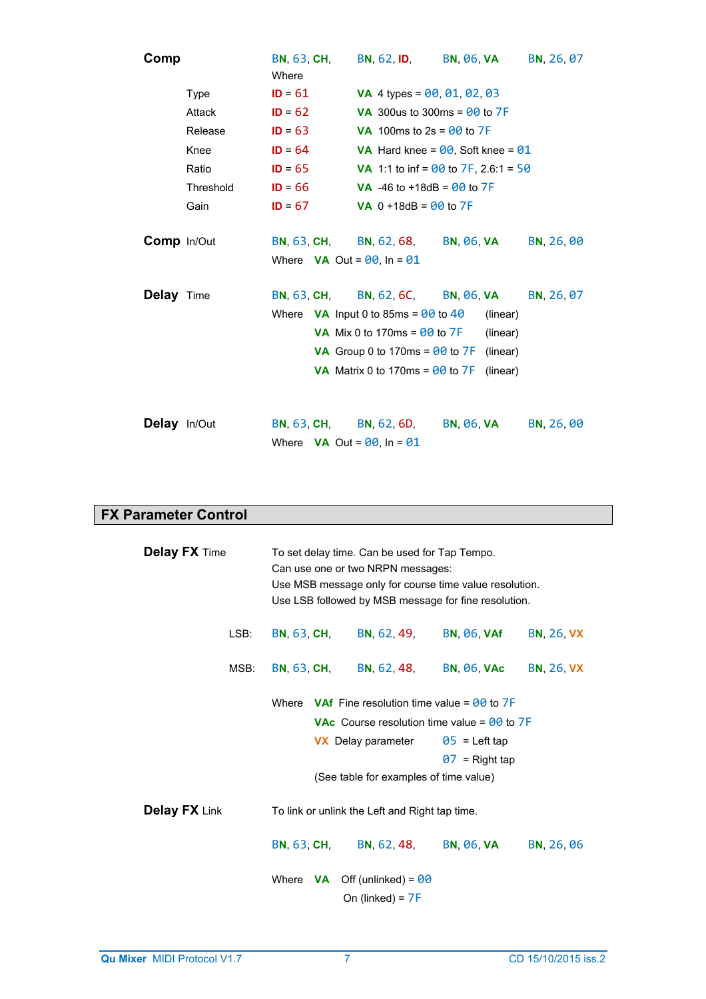| Comp                |           | <b>BN, 63, CH,</b><br>Where                                  | BN, 62, ID, BN, 06, VA                                                                                                                                                                   |                                                                        | BN, 26, 07 |
|---------------------|-----------|--------------------------------------------------------------|------------------------------------------------------------------------------------------------------------------------------------------------------------------------------------------|------------------------------------------------------------------------|------------|
|                     | Type      | $ID = 61$                                                    | <b>VA</b> 4 types = $00, 01, 02, 03$                                                                                                                                                     |                                                                        |            |
|                     | Attack    | $ID = 62$                                                    | <b>VA</b> 300us to 300ms = $\theta\theta$ to $7F$                                                                                                                                        |                                                                        |            |
|                     | Release   | $ID = 63$                                                    | <b>VA</b> 100ms to $2s = 00$ to 7F                                                                                                                                                       |                                                                        |            |
|                     | Knee      | $ID = 64$                                                    |                                                                                                                                                                                          | VA Hard knee = $00$ , Soft knee = $01$                                 |            |
|                     | Ratio     | $ID = 65$                                                    |                                                                                                                                                                                          | <b>VA</b> 1:1 to inf = $\theta\theta$ to 7F, 2.6:1 = 50                |            |
|                     | Threshold | $ID = 66$                                                    | <b>VA</b> -46 to +18dB = $00$ to $7F$                                                                                                                                                    |                                                                        |            |
|                     | Gain      | $ID = 67$                                                    | <b>VA</b> $0 + 18$ dB = $00$ to 7F                                                                                                                                                       |                                                                        |            |
| <b>Comp</b> In/Out  |           | Where $VA$ Out = $00$ , In = $01$                            | BN, 63, CH, BN, 62, 68, BN, 06, VA                                                                                                                                                       |                                                                        | BN, 26, 00 |
| Delay Time          |           | <b>BN, 63, CH,</b>                                           | Where $VA$ Input 0 to 85ms = $00$ to 40<br><b>VA</b> Mix 0 to 170ms = $\theta\theta$ to 7F<br>VA Group 0 to 170ms = $00$ to $7F$<br><b>VA</b> Matrix 0 to 170ms = $\theta\theta$ to $7F$ | BN, 62, 6C, BN, 06, VA<br>(linear)<br>(linear)<br>(linear)<br>(linear) | BN, 26, 07 |
| <b>Delay</b> In/Out |           | BN, 63, CH, BN, 62, 6D,<br>Where $VA$ Out = $00$ , In = $01$ |                                                                                                                                                                                          | <b>BN, 06, VA</b>                                                      | BN, 26, 00 |

# **FX Parameter Control**

| <b>Delay FX Time</b>                                                                                                                                                                                                            |      | To set delay time. Can be used for Tap Tempo.<br>Can use one or two NRPN messages:<br>Use MSB message only for course time value resolution.<br>Use LSB followed by MSB message for fine resolution. |                                                        |                                     |                   |
|---------------------------------------------------------------------------------------------------------------------------------------------------------------------------------------------------------------------------------|------|------------------------------------------------------------------------------------------------------------------------------------------------------------------------------------------------------|--------------------------------------------------------|-------------------------------------|-------------------|
|                                                                                                                                                                                                                                 | LSB: |                                                                                                                                                                                                      | BN, 63, CH, BN, 62, 49, BN, 06, VAf                    |                                     | <b>BN, 26, VX</b> |
|                                                                                                                                                                                                                                 | MSB: |                                                                                                                                                                                                      |                                                        | BN, 63, CH, BN, 62, 48, BN, 06, VAc | <b>BN, 26, VX</b> |
| Where <b>VAf</b> Fine resolution time value = $\theta\theta$ to $7F$<br><b>VAc</b> Course resolution time value = $\theta\theta$ to $7F$<br><b>VX</b> Delay parameter $05$ = Left tap<br>(See table for examples of time value) |      |                                                                                                                                                                                                      | $07$ = Right tap                                       |                                     |                   |
| <b>Delay FX Link</b>                                                                                                                                                                                                            |      | To link or unlink the Left and Right tap time.                                                                                                                                                       |                                                        |                                     |                   |
|                                                                                                                                                                                                                                 |      |                                                                                                                                                                                                      | BN, 63, CH, BN, 62, 48, BN, 06, VA                     |                                     | BN, 26, 06        |
|                                                                                                                                                                                                                                 |      |                                                                                                                                                                                                      | Where $VA$ Off (unlinked) = $00$<br>On (linked) = $7F$ |                                     |                   |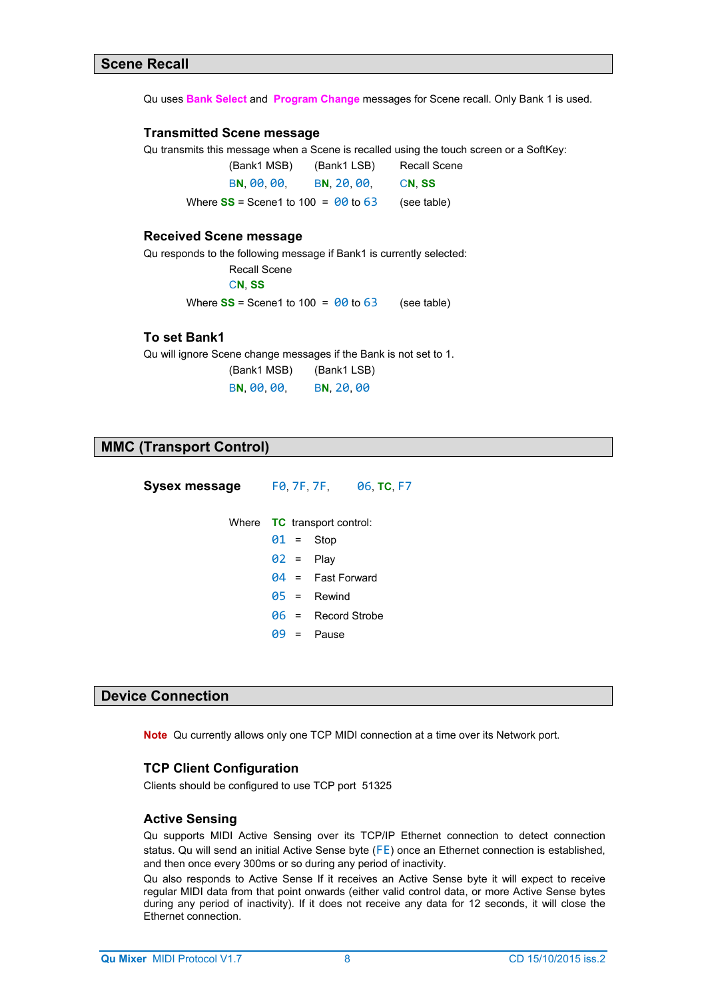Qu uses **Bank Select** and **Program Change** messages for Scene recall. Only Bank 1 is used.

### **Transmitted Scene message**

Qu transmits this message when a Scene is recalled using the touch screen or a SoftKey:

| (Bank1 MSB)                             | (Bank1 LSB) | Recall Scene |
|-----------------------------------------|-------------|--------------|
| BN 00.00                                | BN 20.00.   | CN SS        |
| Where $SS$ = Scene1 to 100 = $00$ to 63 |             | (see table)  |

### **Received Scene message**

Qu responds to the following message if Bank1 is currently selected:

# Recall Scene

C**N**, **SS** 

Where  $SS =$  Scene1 to 100 =  $000$  to 63 (see table)

# **To set Bank1**

Qu will ignore Scene change messages if the Bank is not set to 1.

(Bank1 MSB) (Bank1 LSB) B**N**, 00, 00, B**N**, 20, 00

|  | <b>MMC (Transport Control)</b> |
|--|--------------------------------|

| Sysex message | FO. 7F. 7F. 06. TC. F7             |
|---------------|------------------------------------|
|               | Where <b>TC</b> transport control: |
|               | $01 =$ Stop                        |
|               | $02 =$ Play                        |
|               | $04 =$ Fast Forward                |
|               | $\theta$ 5 = Rewind                |
|               | $\theta$ 6 = Record Strobe         |
|               | $99 =$ Pause                       |
|               |                                    |

# **Device Connection**

**Note** Qu currently allows only one TCP MIDI connection at a time over its Network port.

### **TCP Client Configuration**

Clients should be configured to use TCP port 51325

# **Active Sensing**

Qu supports MIDI Active Sensing over its TCP/IP Ethernet connection to detect connection status. Qu will send an initial Active Sense byte (FE) once an Ethernet connection is established, and then once every 300ms or so during any period of inactivity.

Qu also responds to Active Sense If it receives an Active Sense byte it will expect to receive regular MIDI data from that point onwards (either valid control data, or more Active Sense bytes during any period of inactivity). If it does not receive any data for 12 seconds, it will close the Ethernet connection.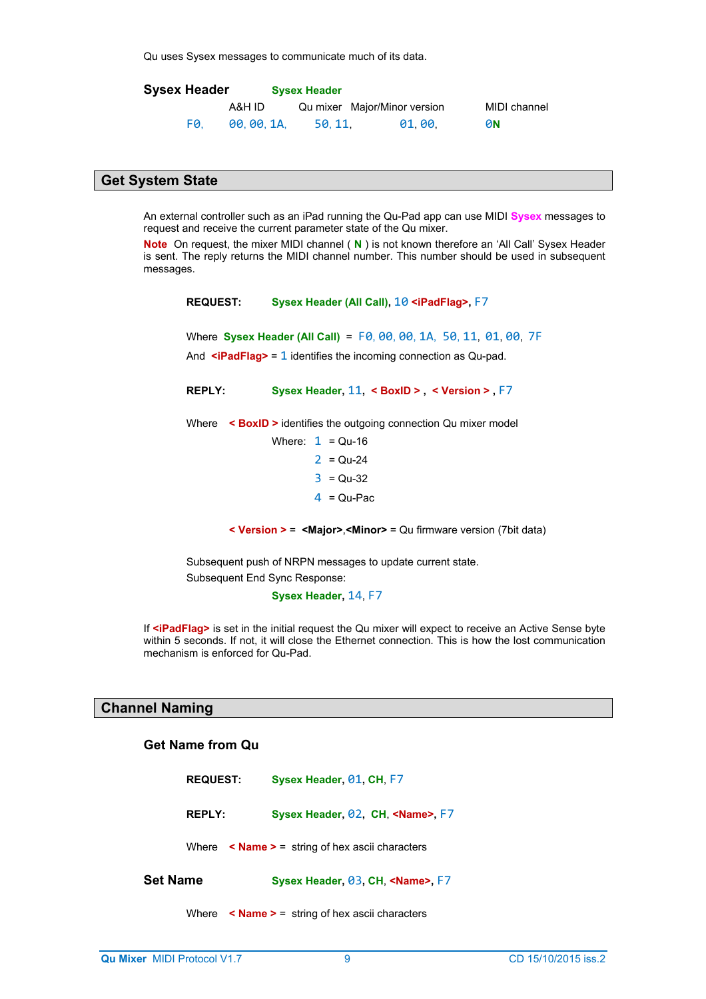Qu uses Sysex messages to communicate much of its data.

| <b>Sysex Header</b> |           | <b>Sysex Header</b> |                              |              |
|---------------------|-----------|---------------------|------------------------------|--------------|
|                     | A&H ID    |                     | Qu mixer Major/Minor version | MIDI channel |
| FØ.                 | 00.00.1A. | 50.11.              | 01.00.                       | 0N           |

# **Get System State**

An external controller such as an iPad running the Qu-Pad app can use MIDI **Sysex** messages to request and receive the current parameter state of the Qu mixer.

**Note** On request, the mixer MIDI channel ( **N** ) is not known therefore an 'All Call' Sysex Header is sent. The reply returns the MIDI channel number. This number should be used in subsequent messages.

**REQUEST: Sysex Header (All Call),** 10 **<iPadFlag>,** F7 Where **Sysex Header (All Call)** = F0, 00, 00, 1A, 50, 11, 01, 00, 7F And **<iPadFlag>** = 1 identifies the incoming connection as Qu-pad. **REPLY: Sysex Header,** 11**, < BoxID > , < Version > ,** F7 Where **< BoxID >** identifies the outgoing connection Qu mixer model Where:  $1 = Qu-16$  $2 = Qu - 24$  $3 = Qu-32$  $4 = Qu-Pac$ 

**< Version >** = **<Major>**,**<Minor>** = Qu firmware version (7bit data)

Subsequent push of NRPN messages to update current state. Subsequent End Sync Response:

**Sysex Header,** 14, F7

If **<iPadFlag>** is set in the initial request the Qu mixer will expect to receive an Active Sense byte within 5 seconds. If not, it will close the Ethernet connection. This is how the lost communication mechanism is enforced for Qu-Pad.

# **Channel Naming**

# **Get Name from Qu**

|          | <b>REQUEST:</b> | Sysex Header, 01, CH, F7                                         |  |  |  |  |  |  |  |
|----------|-----------------|------------------------------------------------------------------|--|--|--|--|--|--|--|
|          | <b>REPLY:</b>   | Sysex Header, 02, CH, <name>, F7</name>                          |  |  |  |  |  |  |  |
|          |                 | Where $\leq$ <b>Name</b> $\geq$ = string of hex ascii characters |  |  |  |  |  |  |  |
| Set Name |                 | Sysex Header, 03, CH, <name> F7</name>                           |  |  |  |  |  |  |  |
|          |                 | Where $\leq$ <b>Name &gt;</b> = string of hex ascii characters   |  |  |  |  |  |  |  |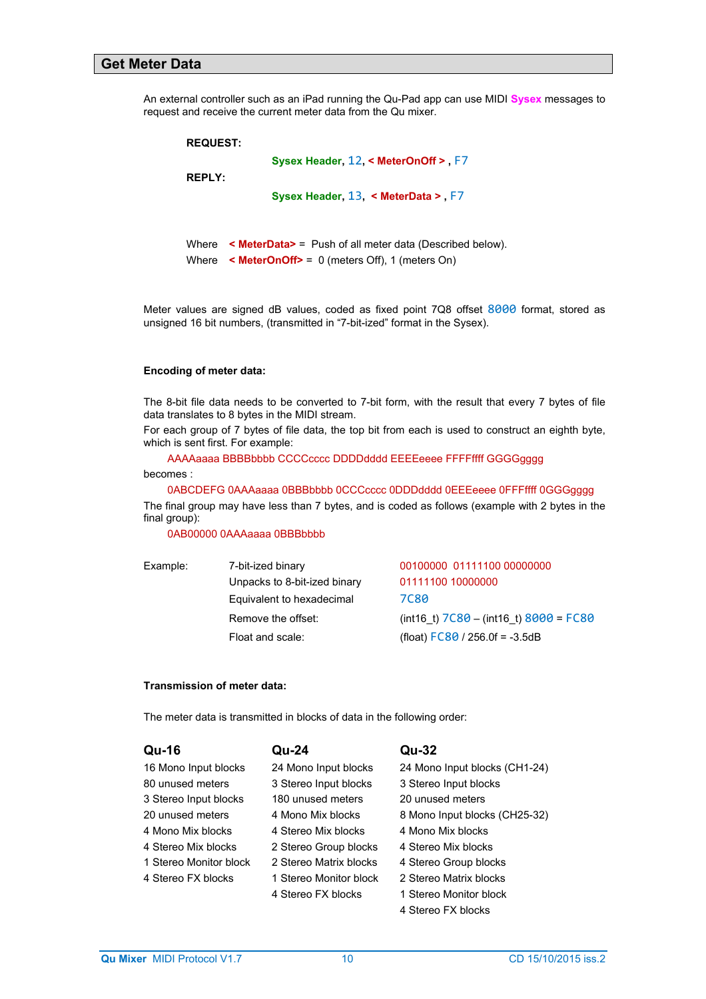### **Get Meter Data**

An external controller such as an iPad running the Qu-Pad app can use MIDI **Sysex** messages to request and receive the current meter data from the Qu mixer.

| <b>REQUEST:</b> |                                                                    |
|-----------------|--------------------------------------------------------------------|
|                 | Sysex Header, 12, < MeterOnOff > F7                                |
| <b>REPLY:</b>   |                                                                    |
|                 | Sysex Header, $13 \leq$ MeterData > F7                             |
|                 |                                                                    |
| Where           | $\leq$ MeterData> = Push of all meter data (Described below).      |
|                 | Where $\leq$ <b>MeterOnOff&gt;</b> = 0 (meters Off), 1 (meters On) |

Meter values are signed dB values, coded as fixed point 7Q8 offset 8000 format, stored as unsigned 16 bit numbers, (transmitted in "7-bit-ized" format in the Sysex).

#### **Encoding of meter data:**

The 8-bit file data needs to be converted to 7-bit form, with the result that every 7 bytes of file data translates to 8 bytes in the MIDI stream.

For each group of 7 bytes of file data, the top bit from each is used to construct an eighth byte, which is sent first. For example:

AAAAaaaa BBBBbbbb CCCCcccc DDDDdddd EEEEeeee FFFFffff GGGGgggg

becomes :

 0ABCDEFG 0AAAaaaa 0BBBbbbb 0CCCcccc 0DDDdddd 0EEEeeee 0FFFffff 0GGGgggg The final group may have less than 7 bytes, and is coded as follows (example with 2 bytes in the final group):

0AB00000 0AAAaaaa 0BBBbbbb

| Example: | 7-bit-ized binary            | 00100000 01111100 00000000               |
|----------|------------------------------|------------------------------------------|
|          | Unpacks to 8-bit-ized binary | 01111100 10000000                        |
|          | Equivalent to hexadecimal    | 7080                                     |
|          | Remove the offset:           | $(int16 t) 7C80 - (int16 t) 8000 = FC80$ |
|          | Float and scale:             | (float) $FC80 / 256.0f = -3.5dB$         |
|          |                              |                                          |

#### **Transmission of meter data:**

The meter data is transmitted in blocks of data in the following order:

| Qu-16                  | Qu-24                  | Qu-32                         |
|------------------------|------------------------|-------------------------------|
| 16 Mono Input blocks   | 24 Mono Input blocks   | 24 Mono Input blocks (CH1-24) |
| 80 unused meters       | 3 Stereo Input blocks  | 3 Stereo Input blocks         |
| 3 Stereo Input blocks  | 180 unused meters      | 20 unused meters              |
| 20 unused meters       | 4 Mono Mix blocks      | 8 Mono Input blocks (CH25-32) |
| 4 Mono Mix blocks      | 4 Stereo Mix blocks    | 4 Mono Mix blocks             |
| 4 Stereo Mix blocks    | 2 Stereo Group blocks  | 4 Stereo Mix blocks           |
| 1 Stereo Monitor block | 2 Stereo Matrix blocks | 4 Stereo Group blocks         |
| 4 Stereo FX blocks     | 1 Stereo Monitor block | 2 Stereo Matrix blocks        |
|                        | 4 Stereo FX blocks     | 1 Stereo Monitor block        |
|                        |                        | 4 Stereo FX blocks            |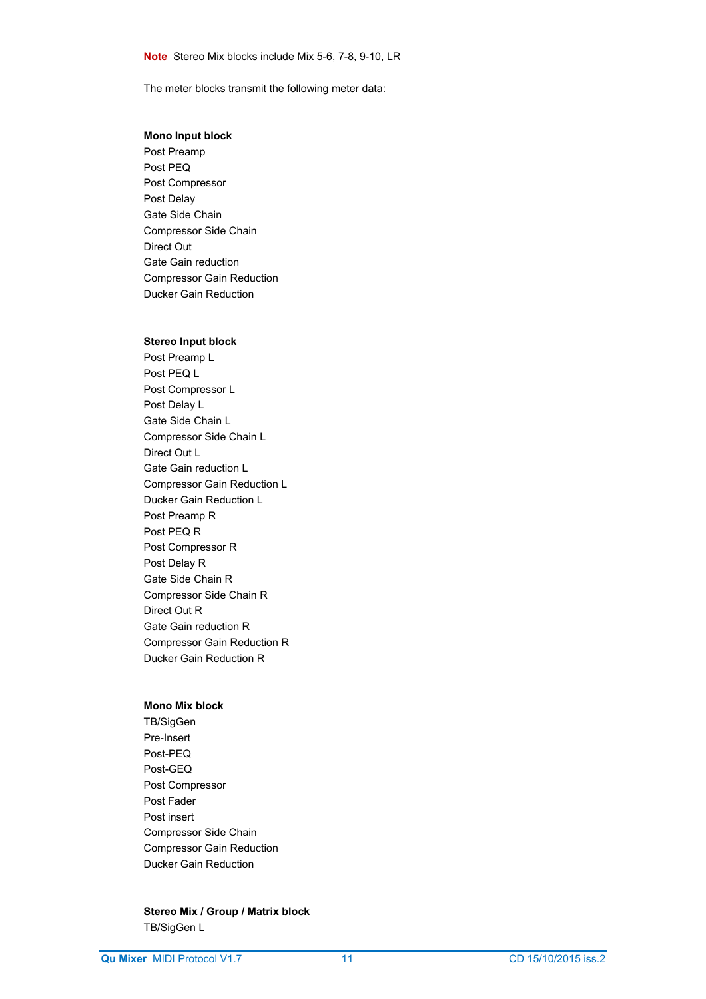The meter blocks transmit the following meter data:

# **Mono Input block**

Post Preamp Post PEQ Post Compressor Post Delay Gate Side Chain Compressor Side Chain Direct Out Gate Gain reduction Compressor Gain Reduction Ducker Gain Reduction

#### **Stereo Input block**

Post Preamp L Post PEQ L Post Compressor L Post Delay L Gate Side Chain L Compressor Side Chain L Direct Out L Gate Gain reduction L Compressor Gain Reduction L Ducker Gain Reduction L Post Preamp R Post PEQ R Post Compressor R Post Delay R Gate Side Chain R Compressor Side Chain R Direct Out R Gate Gain reduction R Compressor Gain Reduction R Ducker Gain Reduction R

#### **Mono Mix block**

TB/SigGen Pre-Insert Post-PEQ Post-GEQ Post Compressor Post Fader Post insert Compressor Side Chain Compressor Gain Reduction Ducker Gain Reduction

# **Stereo Mix / Group / Matrix block** TB/SigGen L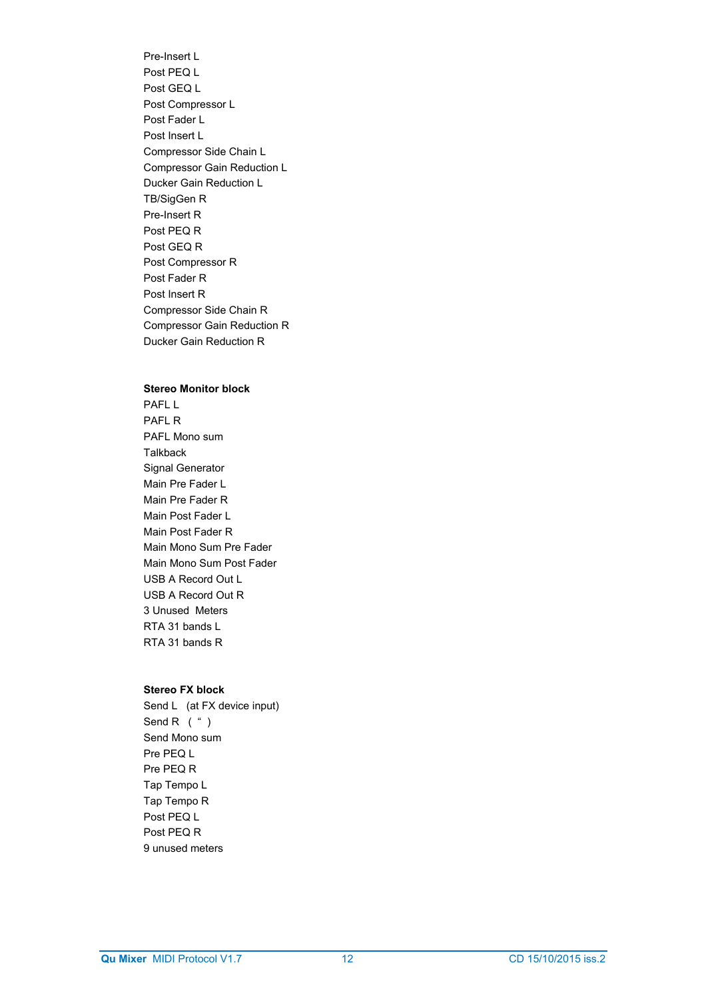Pre-Insert L Post PEQ L Post GEQ L Post Compressor L Post Fader L Post Insert L Compressor Side Chain L Compressor Gain Reduction L Ducker Gain Reduction L TB/SigGen R Pre-Insert R Post PEQ R Post GEQ R Post Compressor R Post Fader R Post Insert R Compressor Side Chain R Compressor Gain Reduction R Ducker Gain Reduction R

#### **Stereo Monitor block**

PAFL L PAFI<sub>R</sub> PAFL Mono sum **Talkback** Signal Generator Main Pre Fader L Main Pre Fader R Main Post Fader L Main Post Fader R Main Mono Sum Pre Fader Main Mono Sum Post Fader USB A Record Out L USB A Record Out R 3 Unused Meters RTA 31 bands L RTA 31 bands R

#### **Stereo FX block**

Send L (at FX device input) Send R  $($  "  $)$ Send Mono sum Pre PEQ L Pre PEQ R Tap Tempo L Tap Tempo R Post PEQ L Post PEQ R 9 unused meters